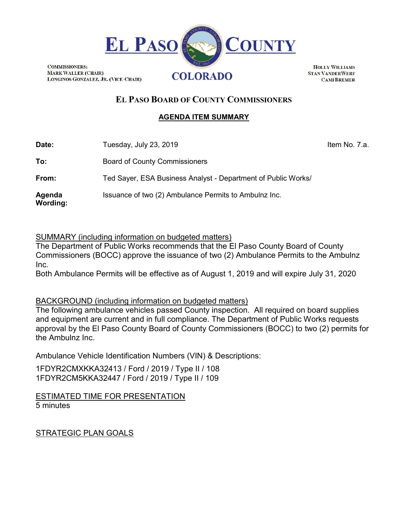

**COMMISSIONERS: MARK WALLER (CHAIR)** LONGINOS GONZALEZ, JR. (VICE-CHAIR)

**HOLLY WILLIAMS STAN VANDERWERF CAMI BREMER** 

# **EL PASO BOARD OF COUNTY COMMISSIONERS**

### **AGENDA ITEM SUMMARY**

**Date:** Tuesday, July 23, 2019 **In the Contract Contract Contract Contract Contract Contract Contract Contract Contract Contract Contract Contract Contract Contract Contract Contract Contract Contract Contract Contract Con** 

To: Board of County Commissioners

**From:** Ted Sayer, ESA Business Analyst - Department of Public Works/

**Agenda**  Issuance of two (2) Ambulance Permits to Ambulnz Inc.

**Wording:**

# SUMMARY (including information on budgeted matters)

The Department of Public Works recommends that the El Paso County Board of County Commissioners (BOCC) approve the issuance of two (2) Ambulance Permits to the Ambulnz Inc.

Both Ambulance Permits will be effective as of August 1, 2019 and will expire July 31, 2020

# BACKGROUND (including information on budgeted matters)

The following ambulance vehicles passed County inspection. All required on board supplies and equipment are current and in full compliance. The Department of Public Works requests approval by the El Paso County Board of County Commissioners (BOCC) to two (2) permits for the Ambulnz Inc.

Ambulance Vehicle Identification Numbers (VIN) & Descriptions:

1FDYR2CMXKKA32413 / Ford / 2019 / Type II / 108 1FDYR2CM5KKA32447 / Ford / 2019 / Type II / 109

ESTIMATED TIME FOR PRESENTATION 5 minutes

STRATEGIC PLAN GOALS